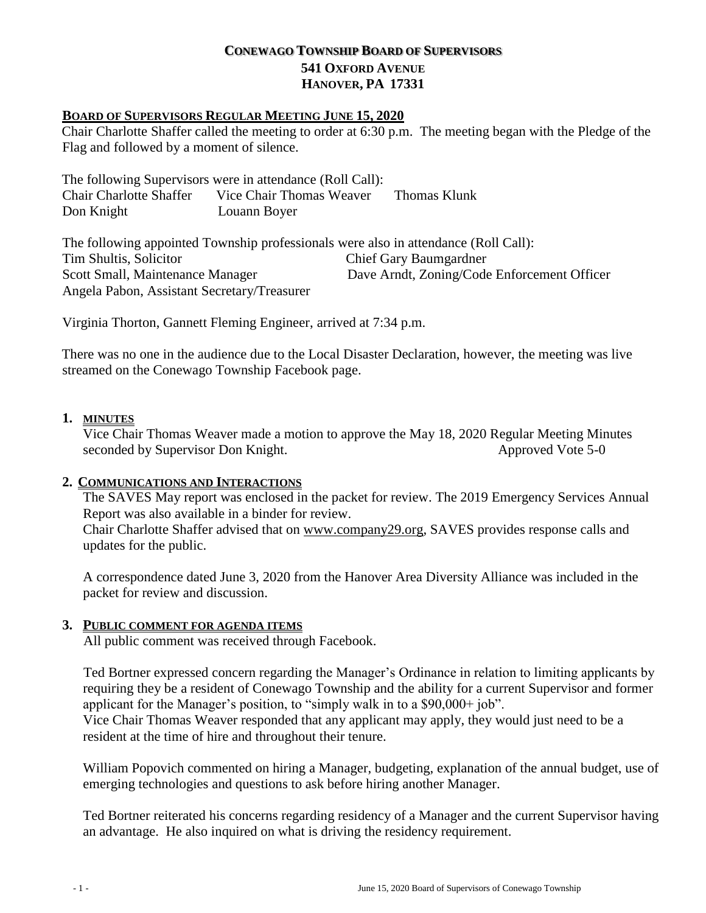## **CONEWAGO TOWNSHIP BOARD OF SUPERVISORS 541 OXFORD AVENUE HANOVER, PA 17331**

### **BOARD OF SUPERVISORS REGULAR MEETING JUNE 15, 2020**

Chair Charlotte Shaffer called the meeting to order at 6:30 p.m. The meeting began with the Pledge of the Flag and followed by a moment of silence.

The following Supervisors were in attendance (Roll Call): Chair Charlotte Shaffer Vice Chair Thomas Weaver Thomas Klunk Don Knight Louann Boyer

The following appointed Township professionals were also in attendance (Roll Call): Tim Shultis, Solicitor Chief Gary Baumgardner Scott Small, Maintenance Manager Dave Arndt, Zoning/Code Enforcement Officer Angela Pabon, Assistant Secretary/Treasurer

Virginia Thorton, Gannett Fleming Engineer, arrived at 7:34 p.m.

There was no one in the audience due to the Local Disaster Declaration, however, the meeting was live streamed on the Conewago Township Facebook page.

## **1. MINUTES**

Vice Chair Thomas Weaver made a motion to approve the May 18, 2020 Regular Meeting Minutes seconded by Supervisor Don Knight. Approved Vote 5-0

### **2. COMMUNICATIONS AND INTERACTIONS**

The SAVES May report was enclosed in the packet for review. The 2019 Emergency Services Annual Report was also available in a binder for review.

Chair Charlotte Shaffer advised that on [www.company29.org,](http://www.company29.org/) SAVES provides response calls and updates for the public.

A correspondence dated June 3, 2020 from the Hanover Area Diversity Alliance was included in the packet for review and discussion.

## **3. PUBLIC COMMENT FOR AGENDA ITEMS**

All public comment was received through Facebook.

Ted Bortner expressed concern regarding the Manager's Ordinance in relation to limiting applicants by requiring they be a resident of Conewago Township and the ability for a current Supervisor and former applicant for the Manager's position, to "simply walk in to a \$90,000+ job".

Vice Chair Thomas Weaver responded that any applicant may apply, they would just need to be a resident at the time of hire and throughout their tenure.

William Popovich commented on hiring a Manager, budgeting, explanation of the annual budget, use of emerging technologies and questions to ask before hiring another Manager.

Ted Bortner reiterated his concerns regarding residency of a Manager and the current Supervisor having an advantage. He also inquired on what is driving the residency requirement.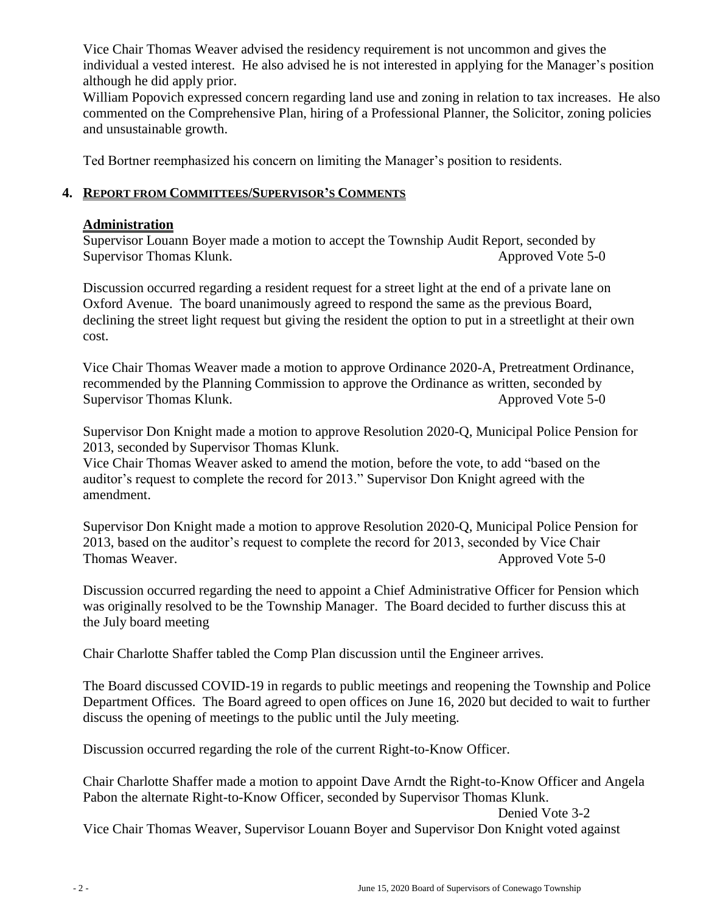Vice Chair Thomas Weaver advised the residency requirement is not uncommon and gives the individual a vested interest. He also advised he is not interested in applying for the Manager's position although he did apply prior.

William Popovich expressed concern regarding land use and zoning in relation to tax increases. He also commented on the Comprehensive Plan, hiring of a Professional Planner, the Solicitor, zoning policies and unsustainable growth.

Ted Bortner reemphasized his concern on limiting the Manager's position to residents.

## **4. REPORT FROM COMMITTEES/SUPERVISOR'S COMMENTS**

# **Administration**

Supervisor Louann Boyer made a motion to accept the Township Audit Report, seconded by Supervisor Thomas Klunk. Approved Vote 5-0

Discussion occurred regarding a resident request for a street light at the end of a private lane on Oxford Avenue. The board unanimously agreed to respond the same as the previous Board, declining the street light request but giving the resident the option to put in a streetlight at their own cost.

 Vice Chair Thomas Weaver made a motion to approve Ordinance 2020-A, Pretreatment Ordinance, recommended by the Planning Commission to approve the Ordinance as written, seconded by Supervisor Thomas Klunk. Approved Vote 5-0

Supervisor Don Knight made a motion to approve Resolution 2020-Q, Municipal Police Pension for 2013, seconded by Supervisor Thomas Klunk.

Vice Chair Thomas Weaver asked to amend the motion, before the vote, to add "based on the auditor's request to complete the record for 2013." Supervisor Don Knight agreed with the amendment.

Supervisor Don Knight made a motion to approve Resolution 2020-Q, Municipal Police Pension for 2013, based on the auditor's request to complete the record for 2013, seconded by Vice Chair Thomas Weaver. Approved Vote 5-0

Discussion occurred regarding the need to appoint a Chief Administrative Officer for Pension which was originally resolved to be the Township Manager. The Board decided to further discuss this at the July board meeting

Chair Charlotte Shaffer tabled the Comp Plan discussion until the Engineer arrives.

The Board discussed COVID-19 in regards to public meetings and reopening the Township and Police Department Offices. The Board agreed to open offices on June 16, 2020 but decided to wait to further discuss the opening of meetings to the public until the July meeting.

Discussion occurred regarding the role of the current Right-to-Know Officer.

Chair Charlotte Shaffer made a motion to appoint Dave Arndt the Right-to-Know Officer and Angela Pabon the alternate Right-to-Know Officer, seconded by Supervisor Thomas Klunk.

Denied Vote 3-2 Vice Chair Thomas Weaver, Supervisor Louann Boyer and Supervisor Don Knight voted against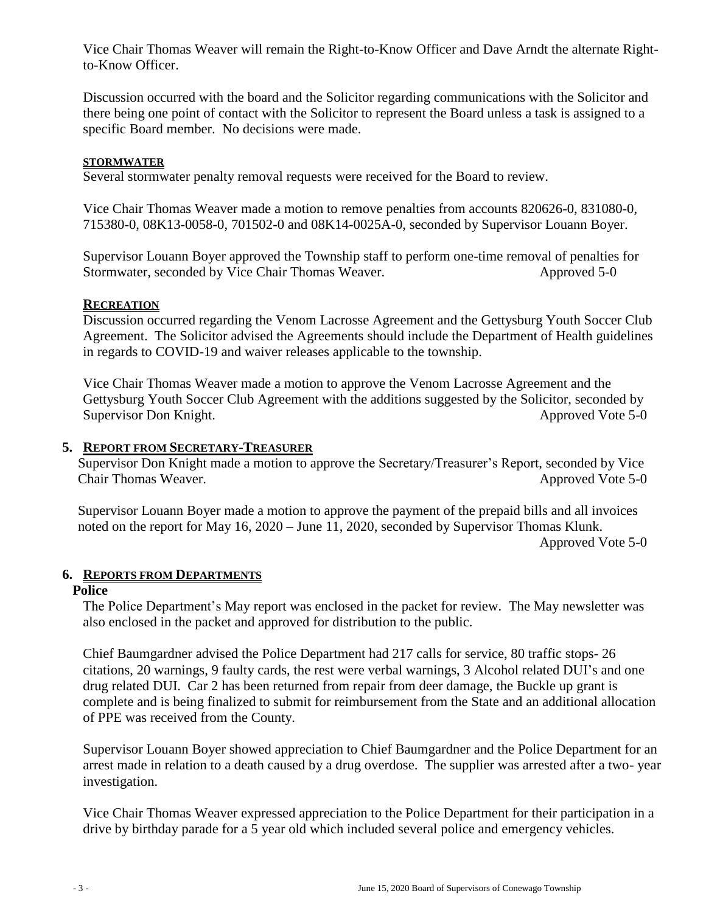Vice Chair Thomas Weaver will remain the Right-to-Know Officer and Dave Arndt the alternate Rightto-Know Officer.

Discussion occurred with the board and the Solicitor regarding communications with the Solicitor and there being one point of contact with the Solicitor to represent the Board unless a task is assigned to a specific Board member. No decisions were made.

### **STORMWATER**

Several stormwater penalty removal requests were received for the Board to review.

Vice Chair Thomas Weaver made a motion to remove penalties from accounts 820626-0, 831080-0, 715380-0, 08K13-0058-0, 701502-0 and 08K14-0025A-0, seconded by Supervisor Louann Boyer.

Supervisor Louann Boyer approved the Township staff to perform one-time removal of penalties for Stormwater, seconded by Vice Chair Thomas Weaver. Approved 5-0

#### **RECREATION**

Discussion occurred regarding the Venom Lacrosse Agreement and the Gettysburg Youth Soccer Club Agreement. The Solicitor advised the Agreements should include the Department of Health guidelines in regards to COVID-19 and waiver releases applicable to the township.

Vice Chair Thomas Weaver made a motion to approve the Venom Lacrosse Agreement and the Gettysburg Youth Soccer Club Agreement with the additions suggested by the Solicitor, seconded by Supervisor Don Knight. Approved Vote 5-0

## **5. REPORT FROM SECRETARY-TREASURER**

Supervisor Don Knight made a motion to approve the Secretary/Treasurer's Report, seconded by Vice Chair Thomas Weaver. Approved Vote 5-0

Supervisor Louann Boyer made a motion to approve the payment of the prepaid bills and all invoices noted on the report for May 16, 2020 – June 11, 2020, seconded by Supervisor Thomas Klunk. Approved Vote 5-0

#### **6. REPORTS FROM DEPARTMENTS**

#### **Police**

The Police Department's May report was enclosed in the packet for review. The May newsletter was also enclosed in the packet and approved for distribution to the public.

Chief Baumgardner advised the Police Department had 217 calls for service, 80 traffic stops- 26 citations, 20 warnings, 9 faulty cards, the rest were verbal warnings, 3 Alcohol related DUI's and one drug related DUI. Car 2 has been returned from repair from deer damage, the Buckle up grant is complete and is being finalized to submit for reimbursement from the State and an additional allocation of PPE was received from the County.

Supervisor Louann Boyer showed appreciation to Chief Baumgardner and the Police Department for an arrest made in relation to a death caused by a drug overdose. The supplier was arrested after a two- year investigation.

Vice Chair Thomas Weaver expressed appreciation to the Police Department for their participation in a drive by birthday parade for a 5 year old which included several police and emergency vehicles.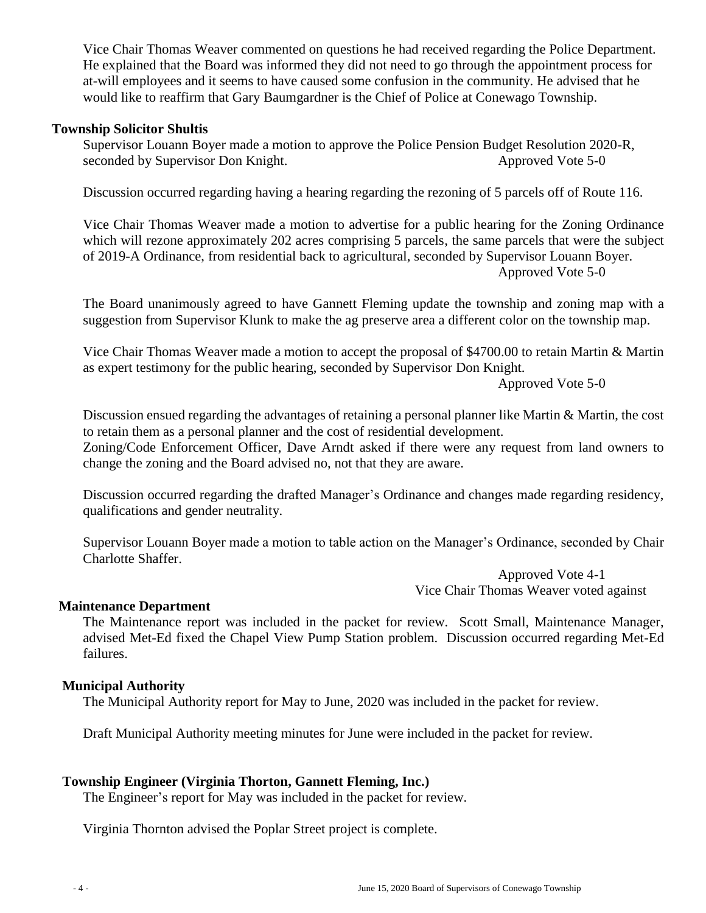Vice Chair Thomas Weaver commented on questions he had received regarding the Police Department. He explained that the Board was informed they did not need to go through the appointment process for at-will employees and it seems to have caused some confusion in the community. He advised that he would like to reaffirm that Gary Baumgardner is the Chief of Police at Conewago Township.

### **Township Solicitor Shultis**

Supervisor Louann Boyer made a motion to approve the Police Pension Budget Resolution 2020-R, seconded by Supervisor Don Knight. Approved Vote 5-0

Discussion occurred regarding having a hearing regarding the rezoning of 5 parcels off of Route 116.

Vice Chair Thomas Weaver made a motion to advertise for a public hearing for the Zoning Ordinance which will rezone approximately 202 acres comprising 5 parcels, the same parcels that were the subject of 2019-A Ordinance, from residential back to agricultural, seconded by Supervisor Louann Boyer. Approved Vote 5-0

The Board unanimously agreed to have Gannett Fleming update the township and zoning map with a suggestion from Supervisor Klunk to make the ag preserve area a different color on the township map.

Vice Chair Thomas Weaver made a motion to accept the proposal of \$4700.00 to retain Martin & Martin as expert testimony for the public hearing, seconded by Supervisor Don Knight.

Approved Vote 5-0

Discussion ensued regarding the advantages of retaining a personal planner like Martin & Martin, the cost to retain them as a personal planner and the cost of residential development.

Zoning/Code Enforcement Officer, Dave Arndt asked if there were any request from land owners to change the zoning and the Board advised no, not that they are aware.

Discussion occurred regarding the drafted Manager's Ordinance and changes made regarding residency, qualifications and gender neutrality.

Supervisor Louann Boyer made a motion to table action on the Manager's Ordinance, seconded by Chair Charlotte Shaffer.

> Approved Vote 4-1 Vice Chair Thomas Weaver voted against

#### **Maintenance Department**

The Maintenance report was included in the packet for review. Scott Small, Maintenance Manager, advised Met-Ed fixed the Chapel View Pump Station problem. Discussion occurred regarding Met-Ed failures.

#### **Municipal Authority**

The Municipal Authority report for May to June, 2020 was included in the packet for review.

Draft Municipal Authority meeting minutes for June were included in the packet for review.

#### **Township Engineer (Virginia Thorton, Gannett Fleming, Inc.)**

The Engineer's report for May was included in the packet for review.

Virginia Thornton advised the Poplar Street project is complete.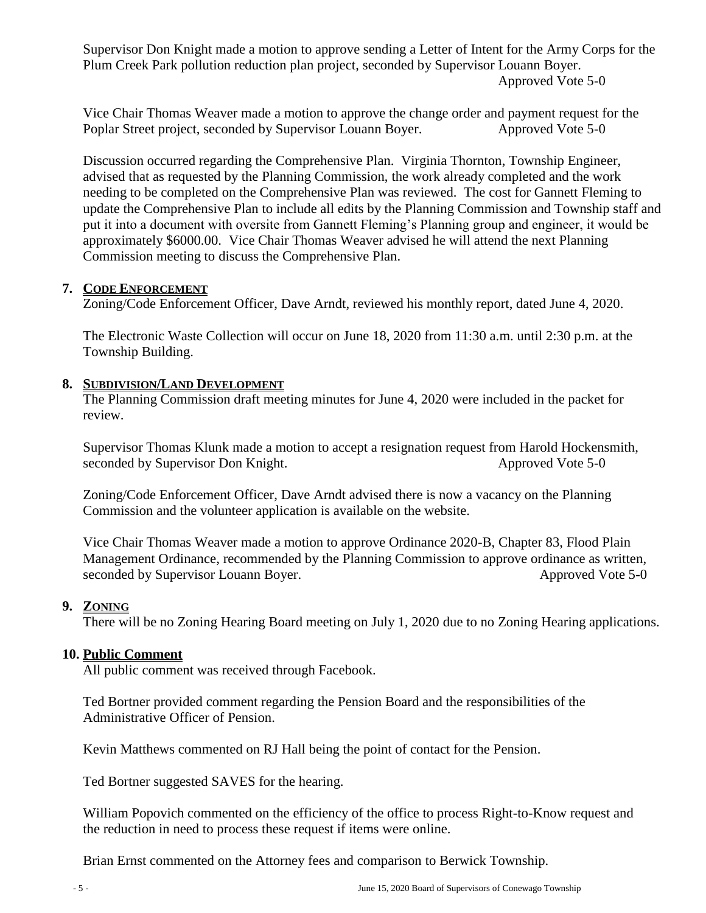Supervisor Don Knight made a motion to approve sending a Letter of Intent for the Army Corps for the Plum Creek Park pollution reduction plan project, seconded by Supervisor Louann Boyer. Approved Vote 5-0

Vice Chair Thomas Weaver made a motion to approve the change order and payment request for the Poplar Street project, seconded by Supervisor Louann Boyer. Approved Vote 5-0

Discussion occurred regarding the Comprehensive Plan. Virginia Thornton, Township Engineer, advised that as requested by the Planning Commission, the work already completed and the work needing to be completed on the Comprehensive Plan was reviewed. The cost for Gannett Fleming to update the Comprehensive Plan to include all edits by the Planning Commission and Township staff and put it into a document with oversite from Gannett Fleming's Planning group and engineer, it would be approximately \$6000.00. Vice Chair Thomas Weaver advised he will attend the next Planning Commission meeting to discuss the Comprehensive Plan.

## **7. CODE ENFORCEMENT**

Zoning/Code Enforcement Officer, Dave Arndt, reviewed his monthly report, dated June 4, 2020.

The Electronic Waste Collection will occur on June 18, 2020 from 11:30 a.m. until 2:30 p.m. at the Township Building.

#### **8. SUBDIVISION/LAND DEVELOPMENT**

The Planning Commission draft meeting minutes for June 4, 2020 were included in the packet for review.

Supervisor Thomas Klunk made a motion to accept a resignation request from Harold Hockensmith, seconded by Supervisor Don Knight. Approved Vote 5-0

Zoning/Code Enforcement Officer, Dave Arndt advised there is now a vacancy on the Planning Commission and the volunteer application is available on the website.

Vice Chair Thomas Weaver made a motion to approve Ordinance 2020-B, Chapter 83, Flood Plain Management Ordinance, recommended by the Planning Commission to approve ordinance as written, seconded by Supervisor Louann Boyer. Approved Vote 5-0

#### **9. ZONING**

There will be no Zoning Hearing Board meeting on July 1, 2020 due to no Zoning Hearing applications.

#### **10. Public Comment**

All public comment was received through Facebook.

Ted Bortner provided comment regarding the Pension Board and the responsibilities of the Administrative Officer of Pension.

Kevin Matthews commented on RJ Hall being the point of contact for the Pension.

Ted Bortner suggested SAVES for the hearing.

William Popovich commented on the efficiency of the office to process Right-to-Know request and the reduction in need to process these request if items were online.

Brian Ernst commented on the Attorney fees and comparison to Berwick Township.